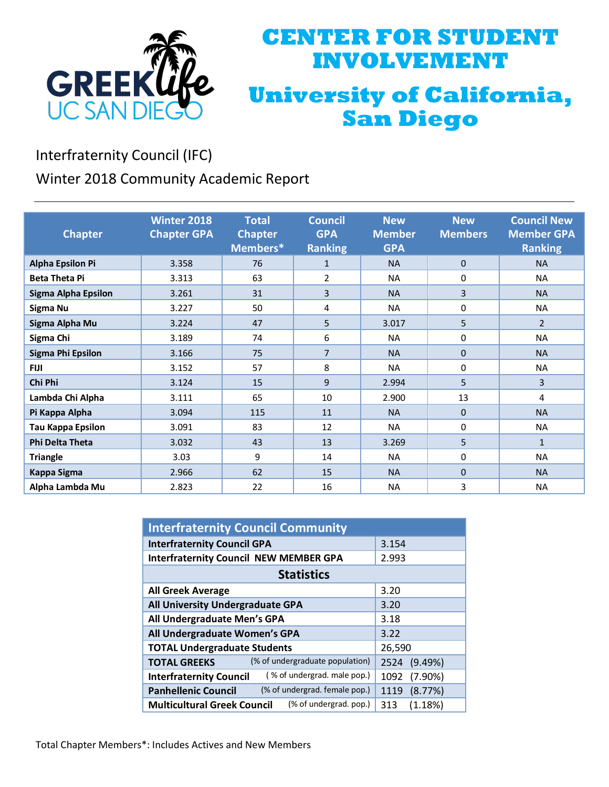

# **CENTER FOR STUDENT INVOLVEMENT University of California, San Diego**

Interfraternity Council (IFC)

Winter 2018 Community Academic Report

|                          | <b>Winter 2018</b> | <b>Total</b>   | <b>Council</b> | <b>New</b>    | <b>New</b>     | <b>Council New</b> |
|--------------------------|--------------------|----------------|----------------|---------------|----------------|--------------------|
| <b>Chapter</b>           | <b>Chapter GPA</b> | <b>Chapter</b> | <b>GPA</b>     | <b>Member</b> | <b>Members</b> | <b>Member GPA</b>  |
|                          |                    |                |                |               |                |                    |
|                          |                    | Members*       | <b>Ranking</b> | <b>GPA</b>    |                | <b>Ranking</b>     |
| <b>Alpha Epsilon Pi</b>  | 3.358              | 76             | $\mathbf{1}$   | <b>NA</b>     | $\Omega$       | <b>NA</b>          |
| <b>Beta Theta Pi</b>     | 3.313              | 63             | $\overline{2}$ | <b>NA</b>     | 0              | <b>NA</b>          |
| Sigma Alpha Epsilon      | 3.261              | 31             | 3              | <b>NA</b>     | 3              | <b>NA</b>          |
| Sigma Nu                 | 3.227              | 50             | 4              | <b>NA</b>     | 0              | <b>NA</b>          |
| Sigma Alpha Mu           | 3.224              | 47             | 5              | 3.017         | 5              | $\overline{2}$     |
| Sigma Chi                | 3.189              | 74             | 6              | <b>NA</b>     | 0              | <b>NA</b>          |
| <b>Sigma Phi Epsilon</b> | 3.166              | 75             | $\overline{7}$ | <b>NA</b>     | $\mathbf{0}$   | <b>NA</b>          |
| <b>FIJI</b>              | 3.152              | 57             | 8              | <b>NA</b>     | 0              | <b>NA</b>          |
| Chi Phi                  | 3.124              | 15             | 9              | 2.994         | 5              | 3                  |
| Lambda Chi Alpha         | 3.111              | 65             | 10             | 2.900         | 13             | 4                  |
| Pi Kappa Alpha           | 3.094              | 115            | 11             | <b>NA</b>     | $\Omega$       | <b>NA</b>          |
| <b>Tau Kappa Epsilon</b> | 3.091              | 83             | 12             | <b>NA</b>     | 0              | <b>NA</b>          |
| <b>Phi Delta Theta</b>   | 3.032              | 43             | 13             | 3.269         | 5              | $\mathbf{1}$       |
| <b>Triangle</b>          | 3.03               | 9              | 14             | <b>NA</b>     | 0              | <b>NA</b>          |
| Kappa Sigma              | 2.966              | 62             | 15             | <b>NA</b>     | $\Omega$       | <b>NA</b>          |
| Alpha Lambda Mu          | 2.823              | 22             | 16             | <b>NA</b>     | 3              | <b>NA</b>          |

| <b>Interfraternity Council Community</b>                      |                    |  |  |  |
|---------------------------------------------------------------|--------------------|--|--|--|
| <b>Interfraternity Council GPA</b>                            | 3.154              |  |  |  |
| <b>Interfraternity Council NEW MEMBER GPA</b>                 | 2.993              |  |  |  |
| <b>Statistics</b>                                             |                    |  |  |  |
| <b>All Greek Average</b>                                      | 3.20               |  |  |  |
| All University Undergraduate GPA                              | 3.20               |  |  |  |
| All Undergraduate Men's GPA                                   | 3.18               |  |  |  |
| All Undergraduate Women's GPA                                 | 3.22               |  |  |  |
| <b>TOTAL Undergraduate Students</b>                           | 26,590             |  |  |  |
| (% of undergraduate population)<br><b>TOTAL GREEKS</b>        | (9.49%)<br>2524    |  |  |  |
| (% of undergrad. male pop.)<br><b>Interfraternity Council</b> | 1092<br>$(7.90\%)$ |  |  |  |
| (% of undergrad. female pop.)<br><b>Panhellenic Council</b>   | (8.77%)<br>1119    |  |  |  |
| (% of undergrad. pop.)<br><b>Multicultural Greek Council</b>  | (1.18%)<br>313     |  |  |  |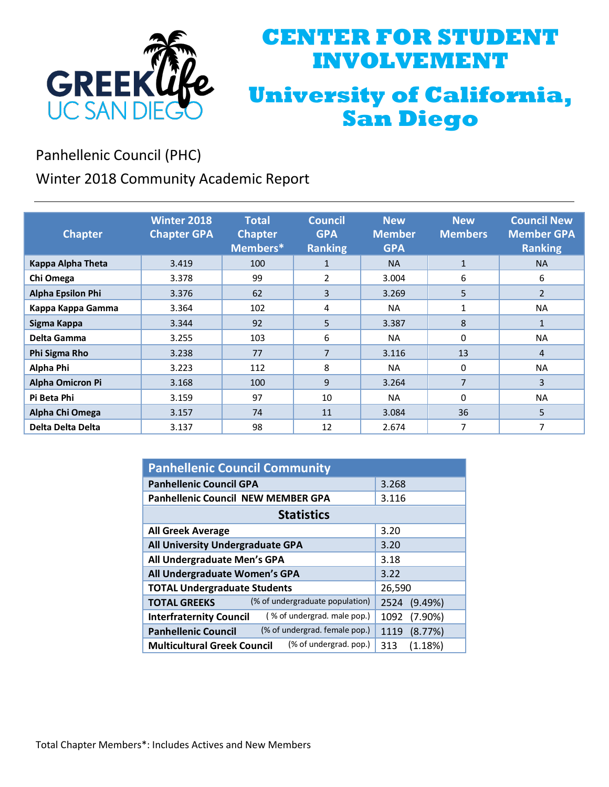

# **CENTER FOR STUDENT INVOLVEMENT University of California, San Diego**

Panhellenic Council (PHC)

Winter 2018 Community Academic Report

| <b>Chapter</b>           | <b>Winter 2018</b><br><b>Chapter GPA</b> | <b>Total</b><br><b>Chapter</b><br>Members* | <b>Council</b><br><b>GPA</b><br><b>Ranking</b> | <b>New</b><br><b>Member</b><br><b>GPA</b> | <b>New</b><br><b>Members</b> | <b>Council New</b><br><b>Member GPA</b><br><b>Ranking</b> |
|--------------------------|------------------------------------------|--------------------------------------------|------------------------------------------------|-------------------------------------------|------------------------------|-----------------------------------------------------------|
| Kappa Alpha Theta        | 3.419                                    | 100                                        | $\mathbf{1}$                                   | <b>NA</b>                                 | $\mathbf{1}$                 | <b>NA</b>                                                 |
| Chi Omega                | 3.378                                    | 99                                         | 2                                              | 3.004                                     | 6                            | 6                                                         |
| <b>Alpha Epsilon Phi</b> | 3.376                                    | 62                                         | 3                                              | 3.269                                     | 5                            | $\overline{2}$                                            |
| Kappa Kappa Gamma        | 3.364                                    | 102                                        | 4                                              | <b>NA</b>                                 | 1                            | <b>NA</b>                                                 |
| Sigma Kappa              | 3.344                                    | 92                                         | 5                                              | 3.387                                     | 8                            | $\mathbf{1}$                                              |
| Delta Gamma              | 3.255                                    | 103                                        | 6                                              | <b>NA</b>                                 | 0                            | <b>NA</b>                                                 |
| Phi Sigma Rho            | 3.238                                    | 77                                         | 7                                              | 3.116                                     | 13                           | 4                                                         |
| Alpha Phi                | 3.223                                    | 112                                        | 8                                              | <b>NA</b>                                 | 0                            | <b>NA</b>                                                 |
| <b>Alpha Omicron Pi</b>  | 3.168                                    | 100                                        | 9                                              | 3.264                                     | 7                            | 3                                                         |
| Pi Beta Phi              | 3.159                                    | 97                                         | 10                                             | <b>NA</b>                                 | 0                            | <b>NA</b>                                                 |
| Alpha Chi Omega          | 3.157                                    | 74                                         | 11                                             | 3.084                                     | 36                           | 5                                                         |
| Delta Delta Delta        | 3.137                                    | 98                                         | 12                                             | 2.674                                     | 7                            | 7                                                         |

| <b>Panhellenic Council Community</b>                          |                    |  |  |  |
|---------------------------------------------------------------|--------------------|--|--|--|
| <b>Panhellenic Council GPA</b>                                | 3.268              |  |  |  |
| <b>Panhellenic Council NEW MEMBER GPA</b>                     | 3.116              |  |  |  |
| <b>Statistics</b>                                             |                    |  |  |  |
| <b>All Greek Average</b>                                      | 3.20               |  |  |  |
| All University Undergraduate GPA                              | 3.20               |  |  |  |
| All Undergraduate Men's GPA                                   | 3.18               |  |  |  |
| All Undergraduate Women's GPA                                 | 3.22               |  |  |  |
| <b>TOTAL Undergraduate Students</b>                           | 26,590             |  |  |  |
| (% of undergraduate population)<br><b>TOTAL GREEKS</b>        | (9.49%)<br>2524    |  |  |  |
| (% of undergrad. male pop.)<br><b>Interfraternity Council</b> | 1092<br>$(7.90\%)$ |  |  |  |
| (% of undergrad. female pop.)<br><b>Panhellenic Council</b>   | (8.77%)<br>1119    |  |  |  |
| (% of undergrad. pop.)<br><b>Multicultural Greek Council</b>  | (1.18%)<br>313     |  |  |  |